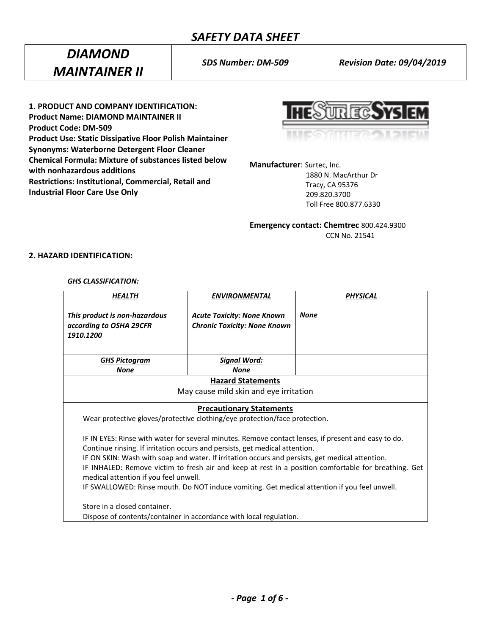# *SAFETY DATA SHEET*

# *DIAMOND MAINTAINER II*

*SDS Number: DM-509 Revision Date: 09/04/2019*

**1. PRODUCT AND COMPANY IDENTIFICATION: Product Name: DIAMOND MAINTAINER II Product Code: DM-509 Product Use: Static Dissipative Floor Polish Maintainer Synonyms: Waterborne Detergent Floor Cleaner Chemical Formula: Mixture of substances listed below with nonhazardous additions Restrictions: Institutional, Commercial, Retail and Industrial Floor Care Use Only**

**HESURECSYSIEM** 

**Manufacturer**: Surtec, Inc.

 1880 N. MacArthur Dr Tracy, CA 95376 209.820.3700 Toll Free 800.877.6330

**Emergency contact: Chemtrec** 800.424.9300 CCN No. 21541

## **2. HAZARD IDENTIFICATION:**

#### *GHS CLASSIFICATION:*

| <b>HEALTH</b>                                                                                        | <b>ENVIRONMENTAL</b>                                                                            | <b>PHYSICAL</b> |  |
|------------------------------------------------------------------------------------------------------|-------------------------------------------------------------------------------------------------|-----------------|--|
| This product is non-hazardous<br>according to OSHA 29CFR<br>1910.1200                                | <b>Acute Toxicity: None Known</b><br><b>Chronic Toxicity: None Known</b>                        | <b>None</b>     |  |
| <b>GHS Pictogram</b>                                                                                 | Signal Word:                                                                                    |                 |  |
| <b>None</b>                                                                                          | <b>None</b>                                                                                     |                 |  |
| <b>Hazard Statements</b>                                                                             |                                                                                                 |                 |  |
| May cause mild skin and eye irritation                                                               |                                                                                                 |                 |  |
|                                                                                                      | <b>Precautionary Statements</b>                                                                 |                 |  |
| Wear protective gloves/protective clothing/eye protection/face protection.                           |                                                                                                 |                 |  |
| IF IN EYES: Rinse with water for several minutes. Remove contact lenses, if present and easy to do.  |                                                                                                 |                 |  |
| Continue rinsing. If irritation occurs and persists, get medical attention.                          |                                                                                                 |                 |  |
|                                                                                                      | IF ON SKIN: Wash with soap and water. If irritation occurs and persists, get medical attention. |                 |  |
| IF INHALED: Remove victim to fresh air and keep at rest in a position comfortable for breathing. Get |                                                                                                 |                 |  |
| medical attention if you feel unwell.                                                                |                                                                                                 |                 |  |
| IF SWALLOWED: Rinse mouth. Do NOT induce vomiting. Get medical attention if you feel unwell.         |                                                                                                 |                 |  |
| Store in a closed container.                                                                         |                                                                                                 |                 |  |
| Dispose of contents/container in accordance with local regulation.                                   |                                                                                                 |                 |  |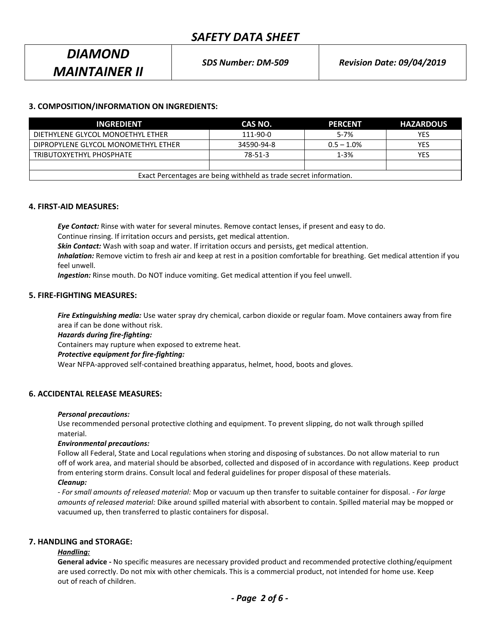# **3. COMPOSITION/INFORMATION ON INGREDIENTS:**

| <b>INGREDIENT</b>                                                 | CAS NO.    | IPERCENTI     | <b>HAZARDOUS</b> |
|-------------------------------------------------------------------|------------|---------------|------------------|
| DIETHYLENE GLYCOL MONOETHYL ETHER                                 | 111-90-0   | $5 - 7%$      | <b>YES</b>       |
| DIPROPYLENE GLYCOL MONOMETHYL ETHER                               | 34590-94-8 | $0.5 - 1.0\%$ | <b>YES</b>       |
| TRIBUTOXYETHYL PHOSPHATE                                          | 78-51-3    | $1 - 3%$      | YES              |
|                                                                   |            |               |                  |
| Exact Percentages are being withheld as trade secret information. |            |               |                  |

#### **4. FIRST-AID MEASURES:**

*Eye Contact:* Rinse with water for several minutes. Remove contact lenses, if present and easy to do. Continue rinsing. If irritation occurs and persists, get medical attention.

*Skin Contact:* Wash with soap and water. If irritation occurs and persists, get medical attention.

*Inhalation:* Remove victim to fresh air and keep at rest in a position comfortable for breathing. Get medical attention if you feel unwell.

*Ingestion:* Rinse mouth. Do NOT induce vomiting. Get medical attention if you feel unwell.

#### **5. FIRE-FIGHTING MEASURES:**

*Fire Extinguishing media:* Use water spray dry chemical, carbon dioxide or regular foam. Move containers away from fire area if can be done without risk.

*Hazards during fire-fighting:*

Containers may rupture when exposed to extreme heat.

#### *Protective equipment for fire-fighting:*

Wear NFPA-approved self-contained breathing apparatus, helmet, hood, boots and gloves.

#### **6. ACCIDENTAL RELEASE MEASURES:**

#### *Personal precautions:*

Use recommended personal protective clothing and equipment. To prevent slipping, do not walk through spilled material.

#### *Environmental precautions:*

Follow all Federal, State and Local regulations when storing and disposing of substances. Do not allow material to run off of work area, and material should be absorbed, collected and disposed of in accordance with regulations. Keep product from entering storm drains. Consult local and federal guidelines for proper disposal of these materials.

#### *Cleanup:*

*- For small amounts of released material:* Mop or vacuum up then transfer to suitable container for disposal. - *For large amounts of released material:* Dike around spilled material with absorbent to contain. Spilled material may be mopped or vacuumed up, then transferred to plastic containers for disposal.

## **7. HANDLING and STORAGE:**

#### *Handling:*

**General advice -** No specific measures are necessary provided product and recommended protective clothing/equipment are used correctly. Do not mix with other chemicals. This is a commercial product, not intended for home use. Keep out of reach of children.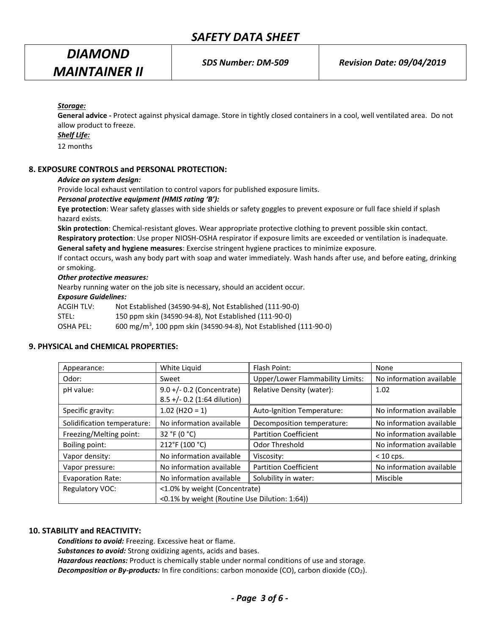*SDS Number: DM-509 Revision Date: 09/04/2019*

## *Storage:*

**General advice -** Protect against physical damage. Store in tightly closed containers in a cool, well ventilated area. Do not allow product to freeze.

#### *Shelf Life:*

12 months

## **8. EXPOSURE CONTROLS and PERSONAL PROTECTION:**

#### *Advice on system design:*

Provide local exhaust ventilation to control vapors for published exposure limits.

#### *Personal protective equipment (HMIS rating 'B'):*

**Eye protection**: Wear safety glasses with side shields or safety goggles to prevent exposure or full face shield if splash hazard exists.

**Skin protection**: Chemical-resistant gloves. Wear appropriate protective clothing to prevent possible skin contact.

**Respiratory protection**: Use proper NIOSH-OSHA respirator if exposure limits are exceeded or ventilation is inadequate. **General safety and hygiene measures**: Exercise stringent hygiene practices to minimize exposure.

If contact occurs, wash any body part with soap and water immediately. Wash hands after use, and before eating, drinking or smoking.

#### *Other protective measures:*

Nearby running water on the job site is necessary, should an accident occur.

#### *Exposure Guidelines:*

| ACGIH TLV: | Not Established (34590-94-8), Not Established (111-90-0)                      |
|------------|-------------------------------------------------------------------------------|
| STEL:      | 150 ppm skin (34590-94-8), Not Established (111-90-0)                         |
| OSHA PEL:  | 600 mg/m <sup>3</sup> , 100 ppm skin (34590-94-8), Not Established (111-90-0) |

#### **9. PHYSICAL and CHEMICAL PROPERTIES:**

| Appearance:                 | White Liquid                                                                   | Flash Point:                     | None                     |
|-----------------------------|--------------------------------------------------------------------------------|----------------------------------|--------------------------|
| Odor:                       | Sweet                                                                          | Upper/Lower Flammability Limits: | No information available |
| pH value:                   | $9.0 +/- 0.2$ (Concentrate)<br>8.5 +/- 0.2 (1:64 dilution)                     | Relative Density (water):        | 1.02                     |
| Specific gravity:           | $1.02$ (H2O = 1)                                                               | Auto-Ignition Temperature:       | No information available |
| Solidification temperature: | No information available                                                       | Decomposition temperature:       | No information available |
| Freezing/Melting point:     | 32 °F (0 °C)                                                                   | <b>Partition Coefficient</b>     | No information available |
| Boiling point:              | 212°F (100 °C)                                                                 | Odor Threshold                   | No information available |
| Vapor density:              | No information available                                                       | Viscosity:                       | $< 10$ cps.              |
| Vapor pressure:             | No information available                                                       | <b>Partition Coefficient</b>     | No information available |
| <b>Evaporation Rate:</b>    | No information available                                                       | Solubility in water:             | Miscible                 |
| Regulatory VOC:             | <1.0% by weight (Concentrate)<br><0.1% by weight (Routine Use Dilution: 1:64)) |                                  |                          |

#### **10. STABILITY and REACTIVITY:**

*Conditions to avoid:* Freezing. Excessive heat or flame. *Substances to avoid:* Strong oxidizing agents, acids and bases. *Hazardous reactions:* Product is chemically stable under normal conditions of use and storage. **Decomposition or By-products:** In fire conditions: carbon monoxide (CO), carbon dioxide (CO<sub>2</sub>).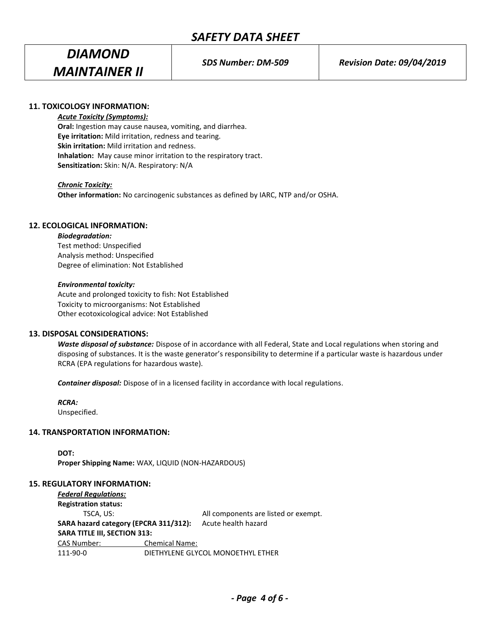## **11. TOXICOLOGY INFORMATION:**

#### *Acute Toxicity (Symptoms):*

**Oral:** Ingestion may cause nausea, vomiting, and diarrhea. **Eye irritation:** Mild irritation, redness and tearing. **Skin irritation:** Mild irritation and redness. **Inhalation:** May cause minor irritation to the respiratory tract. **Sensitization:** Skin: N/A. Respiratory: N/A

#### *Chronic Toxicity:*

**Other information:** No carcinogenic substances as defined by IARC, NTP and/or OSHA.

# **12. ECOLOGICAL INFORMATION:**

#### *Biodegradation:*

Test method: Unspecified Analysis method: Unspecified Degree of elimination: Not Established

#### *Environmental toxicity:*

Acute and prolonged toxicity to fish: Not Established Toxicity to microorganisms: Not Established Other ecotoxicological advice: Not Established

#### **13. DISPOSAL CONSIDERATIONS:**

*Waste disposal of substance:* Dispose of in accordance with all Federal, State and Local regulations when storing and disposing of substances. It is the waste generator's responsibility to determine if a particular waste is hazardous under RCRA (EPA regulations for hazardous waste).

*Container disposal:* Dispose of in a licensed facility in accordance with local regulations.

#### *RCRA:*

Unspecified.

#### **14. TRANSPORTATION INFORMATION:**

**DOT: Proper Shipping Name:** WAX, LIQUID (NON-HAZARDOUS)

#### **15. REGULATORY INFORMATION:**

| <b>Federal Regulations:</b>           |                       |                                      |
|---------------------------------------|-----------------------|--------------------------------------|
| <b>Registration status:</b>           |                       |                                      |
| TSCA. US:                             |                       | All components are listed or exempt. |
| SARA hazard category (EPCRA 311/312): |                       | Acute health hazard                  |
| <b>SARA TITLE III, SECTION 313:</b>   |                       |                                      |
| <b>CAS Number:</b>                    | <b>Chemical Name:</b> |                                      |
| 111-90-0                              |                       | DIETHYLENE GLYCOL MONOETHYL ETHER    |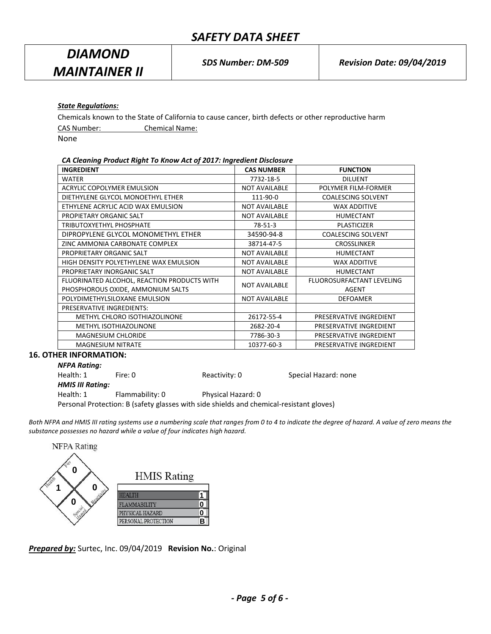# *State Regulations:*

Chemicals known to the State of California to cause cancer, birth defects or other reproductive harm

CAS Number: Chemical Name:

None

#### *CA Cleaning Product Right To Know Act of 2017: Ingredient Disclosure*

| <b>INGREDIENT</b>                                                                | <b>CAS NUMBER</b>    | <b>FUNCTION</b>                    |
|----------------------------------------------------------------------------------|----------------------|------------------------------------|
| <b>WATER</b>                                                                     | 7732-18-5            | <b>DILUENT</b>                     |
| ACRYLIC COPOLYMER EMULSION                                                       | <b>NOT AVAILABLE</b> | POLYMER FILM-FORMER                |
| DIETHYLENE GLYCOL MONOETHYL ETHER                                                | 111-90-0             | <b>COALESCING SOLVENT</b>          |
| ETHYLENE ACRYLIC ACID WAX EMULSION                                               | <b>NOT AVAILABLE</b> | <b>WAX ADDITIVE</b>                |
| PROPIETARY ORGANIC SALT                                                          | <b>NOT AVAILABLE</b> | <b>HUMECTANT</b>                   |
| TRIBUTOXYETHYL PHOSPHATE                                                         | 78-51-3              | <b>PLASTICIZER</b>                 |
| DIPROPYLENE GLYCOL MONOMETHYL ETHER                                              | 34590-94-8           | <b>COALESCING SOLVENT</b>          |
| ZINC AMMONIA CARBONATE COMPLEX                                                   | 38714-47-5           | <b>CROSSLINKER</b>                 |
| PROPRIETARY ORGANIC SALT                                                         | <b>NOT AVAILABLE</b> | <b>HUMECTANT</b>                   |
| HIGH DENSITY POLYETHYLENE WAX EMULSION                                           | <b>NOT AVAILABLE</b> | <b>WAX ADDITIVE</b>                |
| PROPRIETARY INORGANIC SALT                                                       | <b>NOT AVAILABLE</b> | <b>HUMECTANT</b>                   |
| FLUORINATED ALCOHOL, REACTION PRODUCTS WITH<br>PHOSPHOROUS OXIDE, AMMONIUM SALTS | <b>NOT AVAILABLE</b> | FLUOROSURFACTANT LEVELING<br>AGENT |
| POLYDIMETHYLSILOXANE EMULSION                                                    | <b>NOT AVAILABLE</b> | <b>DEFOAMER</b>                    |
| PRESERVATIVE INGREDIENTS:                                                        |                      |                                    |
| METHYL CHLORO ISOTHIAZOLINONE                                                    | 26172-55-4           | PRESERVATIVE INGREDIENT            |
| METHYL ISOTHIAZOLINONE                                                           | 2682-20-4            | PRESERVATIVE INGREDIENT            |
| <b>MAGNESIUM CHLORIDE</b>                                                        | 7786-30-3            | PRESERVATIVE INGREDIENT            |
| <b>MAGNESIUM NITRATE</b>                                                         | 10377-60-3           | PRESERVATIVE INGREDIENT            |

#### **16. OTHER INFORMATION:**

| <b>NFPA Rating:</b>     |                 |                    |                      |
|-------------------------|-----------------|--------------------|----------------------|
| Health: 1               | Fire: 0         | Reactivity: 0      | Special Hazard: none |
| <b>HMIS III Rating:</b> |                 |                    |                      |
| Health: 1               | Flammability: 0 | Physical Hazard: 0 |                      |
|                         |                 |                    |                      |

Personal Protection: B (safety glasses with side shields and chemical-resistant gloves)

Both NFPA and HMIS III rating systems use a numbering scale that ranges from 0 to 4 to indicate the degree of hazard. A value of zero means the *substance possesses no hazard while a value of four indicates high hazard.*



*Prepared by:* Surtec, Inc. 09/04/2019 **Revision No.**: Original